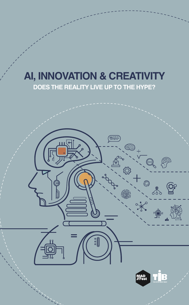# **AI, INNOVATION & CREATIVITY**

**DOES THE REALITY LIVE UP TO THE HYPE?**

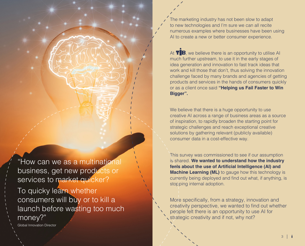The marketing industry has not been slow to adapt to new technologies and I'm sure we can all recite numerous examples where businesses have been using AI to create a new or better consumer experience.

At  $\mathbf{T}$   $\mathbf{B}$ , we believe there is an opportunity to utilise AI much further upstream, to use it in the early stages of idea generation and innovation to fast track ideas that work and kill those that don't, thus solving the innovation challenge faced by many brands and agencies of getting products and services in the hands of consumers quickly or as a client once said **"Helping us Fail Faster to Win Bigger".**

We believe that there is a huge opportunity to use creative AI across a range of business areas as a source of inspiration, to rapidly broaden the starting point for strategic challenges and reach exceptional creative solutions by gathering relevant (publicly available) consumer data in a cost-effective way.

This survey was commissioned to see if our assumption is shared. **We wanted to understand how the industry feels about the use of Artificial Intelligence (AI) and Machine Learning (ML)** to gauge how this technology is currently being deployed and find out what, if anything, is stopping internal adoption.

More specifically, from a strategy, innovation and creativity perspective, we wanted to find out whether people felt there is an opportunity to use AI for strategic creativity and if not, why not?

"How can we as a multinational business, get new products or services to market quicker?

To quicky learn whether consumers will buy or to kill a launch before wasting too much money?"

Global Innovation Director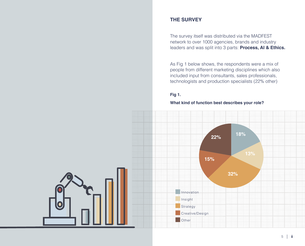### **THE SURVEY**

The survey itself was distributed via the MADFEST network to over 1000 agencies, brands and industry leaders and was split into 3 parts: **Process, AI & Ethics.** 

As Fig 1 below shows, the respondents were a mix of people from different marketing disciplines which also included input from consultants, sales professionals, technologists and production specialists (22% other)

#### **Fig 1.**

#### **What kind of function best describes your role?**

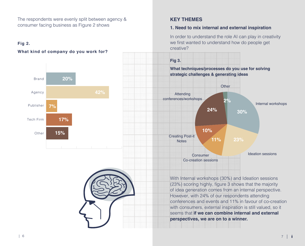The respondents were evenly split between agency & consumer facing business as Figure 2 shows

### **Fig 2.**

### **What kind of company do you work for?**





### **KEY THEMES**

### **1. Need to mix internal and external inspiration**

In order to understand the role AI can play in creativity we first wanted to understand how do people get creative?



With Internal workshops (30%) and Ideation sessions (23%) scoring highly, figure 3 shows that the majority of idea generation comes from an internal perspective. However, with 24% of our respondents attending conferences and events and 11% in favour of co-creation with consumers, external inspiration is still valued, so it seems that **if we can combine internal and external perspectives, we are on to a winner.**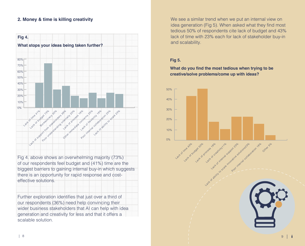### **2. Money & time is killing creativity**



Fig 4. above shows an overwhelming majority (73%) of our respondents feel budget and (41%) time are the biggest barriers to gaining internal buy-in which suggests there is an opportunity for rapid response and costeffective solutions.

Further exploration identifies that just over a third of our respondents (36%) need help convincing their wider business stakeholders that AI can help with idea generation and creativity for less and that it offers a scalable solution.

We see a similar trend when we put an internal view on idea generation (Fig 5). When asked what they find most tedious 50% of respondents cite lack of budget and 43% lack of time with 23% each for lack of stakeholder buy-in and scalability.

### **Fig 5.**

**What do you find the most tedious when trying to be creative/solve problems/come up with ideas?**

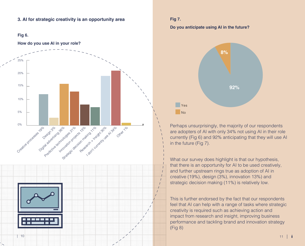#### **3. AI for strategic creativity is an opportunity area**

#### **Fig 6.**

#### **How do you use AI in your role?**



#### **Fig 7.**

#### **Do you anticipate using AI in the future?**



Perhaps unsurprisingly, the majority of our respondents are adopters of AI with only 34% not using AI in their role currently (Fig 6) and 92% anticipating that they will use AI in the future (Fig 7).

What our survey does highlight is that our hypothesis, that there is an opportunity for AI to be used creatively, and further upstream rings true as adoption of AI in creative (19%), design (3%), innovation 13%) and strategic decision making (11%) is relatively low.

This is further endorsed by the fact that our respondents feel that AI can help with a range of tasks where strategic creativity is required such as achieving action and impact from research and insight, improving business performance and tackling brand and innovation strategy (Fig 8)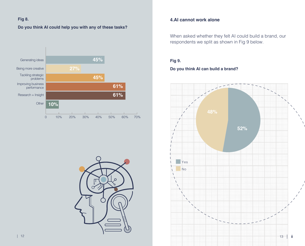### **Fig 8.**

**Do you think AI could help you with any of these tasks?**





### **4.AI cannot work alone**

When asked whether they felt AI could build a brand, our respondents we split as shown in Fig 9 below.

#### **Fig 9.**

### **Do you think AI can build a brand?**

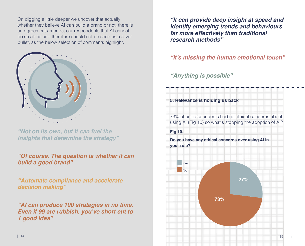On digging a little deeper we uncover that actually whether they believe AI can build a brand or not, there is an agreement amongst our respondents that AI cannot do so alone and therefore should not be seen as a silver bullet, as the below selection of comments highlight.



*"Not on its own, but it can fuel the insights that determine the strategy"*

## *"Of course. The question is whether it can build a good brand"*

*"Automate compliance and accelerate decision making"*

*"AI can produce 100 strategies in no time.*  **Even if 99 are rubbish, you've short cut to**  *1 good idea"*

*"It can provide deep insight at speed and identify emerging trends and behaviours far more effectively than traditional research methods"*

# **"It's missing the human emotional touch"**

*"Anything is possible"*

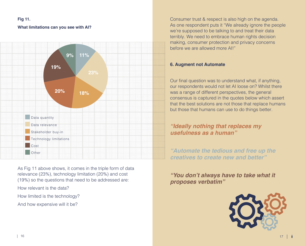#### **Fig 11.**

#### **What limitations can you see with AI?**



As Fig 11 above shows, it comes in the triple form of data relevance (23%), technology limitation (20%) and cost (19%) so the questions that need to be addressed are:

How relevant is the data?

How limited is the technology?

And how expensive will it be?

Consumer trust & respect is also high on the agenda. As one respondent puts it "We already ignore the people we're supposed to be talking to and treat their data terribly. We need to embrace human rights decision making, consumer protection and privacy concerns before we are allowed more AI!"

### **6. Augment not Automate**

Our final question was to understand what, if anything, our respondents would not let AI loose on? Whilst there was a range of different perspectives, the general consensus is captured in the quotes below which assert that the best solutions are not those that replace humans but those that humans can use to do things better.

# *"Ideally nothing that replaces my usefulness as a human"*

*"Automate the tedious and free up the creatives to create new and better"*

**"You don't always have to take what it**  *proposes verbatim"*

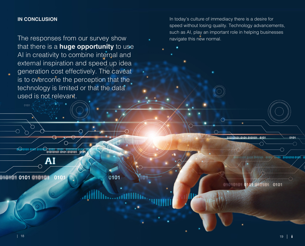### **IN CONCLUSION**

The responses from our survey show that there is a **huge opportunity** to use AI in creativity to combine internal and external inspiration and speed up idea generation cost effectively. The caveat is to overcome the perception that the technology is limited or that the data used is not relevant.

In today's culture of immediacy there is a desire for speed without losing quality. Technology advancements, such as AI, play an important role in helping businesses navigate this new normal.

0101010101010101010101

AI

0101 010104  $010$ 

 $0101$ 

0101

 $010101$ 0101 0101 **ATTSTAC** 

010101-0101-010101 0101

 $(0101$ 

01010100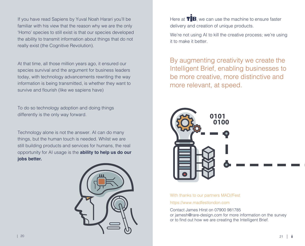If you have read Sapiens by Yuval Noah Harari you'll be familiar with his view that the reason why we are the only 'Homo' species to still exist is that our species developed the ability to transmit information about things that do not really exist (the Cognitive Revolution).

At that time, all those million years ago, it ensured our species survival and the argument for business leaders today, with technology advancements rewriting the way information is being transmitted, is whether they want to survive and flourish (like we sapiens have)

To do so technology adoption and doing things differently is the only way forward.

Technology alone is not the answer. AI can do many things, but the human touch is needed. Whilst we are still building products and services for humans, the real opportunity for AI usage is the **ability to help us do our jobs better.**



Here at  $\mathbf{T}$   $\mathbf{B}$ , we can use the machine to ensure faster delivery and creation of unique products.

We're not using AI to kill the creative process; we're using it to make it better.

By augmenting creativity we create the Intelligent Brief, enabling businesses to be more creative, more distinctive and more relevant, at speed.



With thanks to our partners MAD//Fest https://www.madfestlondon.com

Contact James Hirst on 07900 981785 or jamesh@rare-design.com for more information on the survey or to find out how we are creating the Intelligent Brief.